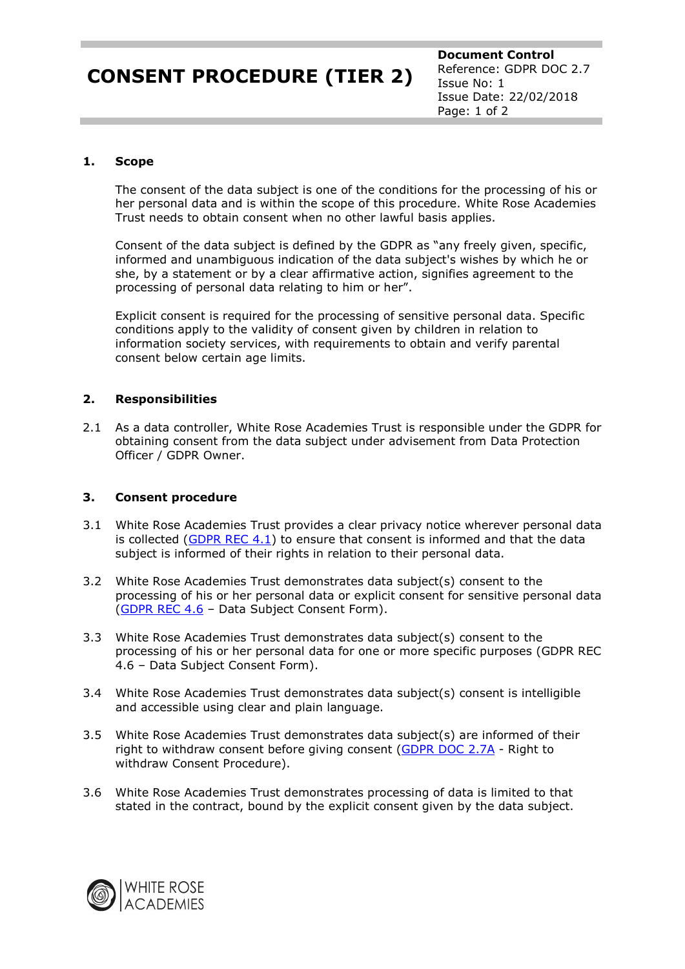# **CONSENT PROCEDURE (TIER 2)**

**Document Control** Reference: GDPR DOC 2.7 Issue No: 1 Issue Date: 22/02/2018 Page: 1 of 2

### **1. Scope**

The consent of the data subject is one of the conditions for the processing of his or her personal data and is within the scope of this procedure. White Rose Academies Trust needs to obtain consent when no other lawful basis applies.

Consent of the data subject is defined by the GDPR as "any freely given, specific, informed and unambiguous indication of the data subject's wishes by which he or she, by a statement or by a clear affirmative action, signifies agreement to the processing of personal data relating to him or her".

Explicit consent is required for the processing of sensitive personal data. Specific conditions apply to the validity of consent given by children in relation to information society services, with requirements to obtain and verify parental consent below certain age limits.

### **2. Responsibilities**

2.1 As a data controller, White Rose Academies Trust is responsible under the GDPR for obtaining consent from the data subject under advisement from Data Protection Officer / GDPR Owner.

### **3. Consent procedure**

- 3.1 White Rose Academies Trust provides a clear privacy notice wherever personal data is collected [\(GDPR REC 4.1\)](https://whiteroseacademies-my.sharepoint.com/personal/croft_f_whiteroseacademies_org/Documents/GDPR%20Documents/GDPR%20Document%20Templates/GDPR_REC_4.1.docm) to ensure that consent is informed and that the data subject is informed of their rights in relation to their personal data.
- 3.2 White Rose Academies Trust demonstrates data subject(s) consent to the processing of his or her personal data or explicit consent for sensitive personal data [\(GDPR REC 4.6](https://whiteroseacademies-my.sharepoint.com/personal/croft_f_whiteroseacademies_org/Documents/GDPR%20Documents/GDPR%20Document%20Templates/GDPR_REC_4.6.docm) - Data Subject Consent Form).
- 3.3 White Rose Academies Trust demonstrates data subject(s) consent to the processing of his or her personal data for one or more specific purposes (GDPR REC 4.6 – Data Subject Consent Form).
- 3.4 White Rose Academies Trust demonstrates data subject(s) consent is intelligible and accessible using clear and plain language.
- 3.5 White Rose Academies Trust demonstrates data subject(s) are informed of their right to withdraw consent before giving consent [\(GDPR DOC 2.7A](https://whiteroseacademies-my.sharepoint.com/personal/croft_f_whiteroseacademies_org/Documents/GDPR%20Documents/GDPR%20Document%20Templates/GDPR_DOC_2.7A.docm) - Right to withdraw Consent Procedure).
- 3.6 White Rose Academies Trust demonstrates processing of data is limited to that stated in the contract, bound by the explicit consent given by the data subject.